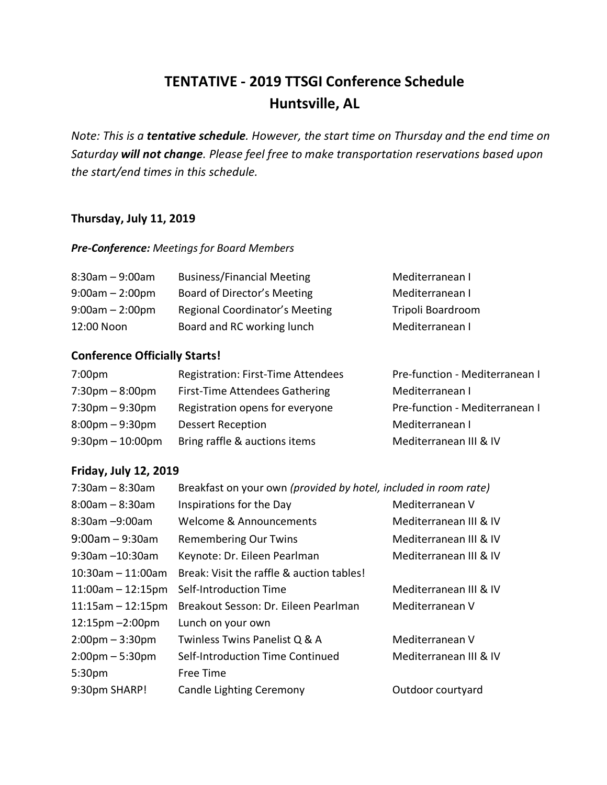## **TENTATIVE - 2019 TTSGI Conference Schedule Huntsville, AL**

*Note: This is a tentative schedule. However, the start time on Thursday and the end time on Saturday will not change. Please feel free to make transportation reservations based upon the start/end times in this schedule.* 

#### **Thursday, July 11, 2019**

#### *Pre-Conference: Meetings for Board Members*

| $8:30$ am $-9:00$ am | <b>Business/Financial Meeting</b> | Mediterranean I   |
|----------------------|-----------------------------------|-------------------|
| $9:00am - 2:00pm$    | Board of Director's Meeting       | Mediterranean I   |
| $9:00am - 2:00pm$    | Regional Coordinator's Meeting    | Tripoli Boardroom |
| 12:00 Noon           | Board and RC working lunch        | Mediterranean I   |

### **Conference Officially Starts!**

| 7:00 <sub>pm</sub>                 | Registration: First-Time Attendees | Pre-function - Mediterranean I |
|------------------------------------|------------------------------------|--------------------------------|
| $7:30 \text{pm} - 8:00 \text{pm}$  | First-Time Attendees Gathering     | Mediterranean I                |
| $7:30 \text{pm} - 9:30 \text{pm}$  | Registration opens for everyone    | Pre-function - Mediterranean I |
| $8:00 \text{pm} - 9:30 \text{pm}$  | <b>Dessert Reception</b>           | Mediterranean I                |
| $9:30 \text{pm} - 10:00 \text{pm}$ | Bring raffle & auctions items      | Mediterranean III & IV         |

#### **Friday, July 12, 2019**

| $7:30am - 8:30am$                  | Breakfast on your own (provided by hotel, included in room rate) |                        |
|------------------------------------|------------------------------------------------------------------|------------------------|
| $8:00$ am – $8:30$ am              | Inspirations for the Day                                         | Mediterranean V        |
| $8:30$ am $-9:00$ am               | Welcome & Announcements                                          | Mediterranean III & IV |
| $9:00$ am – 9:30am                 | Remembering Our Twins                                            | Mediterranean III & IV |
| $9:30$ am $-10:30$ am              | Keynote: Dr. Eileen Pearlman                                     | Mediterranean III & IV |
| $10:30$ am - 11:00am               | Break: Visit the raffle & auction tables!                        |                        |
| $11:00am - 12:15pm$                | Self-Introduction Time                                           | Mediterranean III & IV |
| $11:15am - 12:15pm$                | Breakout Sesson: Dr. Eileen Pearlman                             | Mediterranean V        |
| $12:15 \text{pm} - 2:00 \text{pm}$ | Lunch on your own                                                |                        |
| $2:00 \text{pm} - 3:30 \text{pm}$  | Twinless Twins Panelist Q & A                                    | Mediterranean V        |
| $2:00 \text{pm} - 5:30 \text{pm}$  | Self-Introduction Time Continued                                 | Mediterranean III & IV |
| 5:30 <sub>pm</sub>                 | Free Time                                                        |                        |
| 9:30pm SHARP!                      | <b>Candle Lighting Ceremony</b>                                  | Outdoor courtyard      |